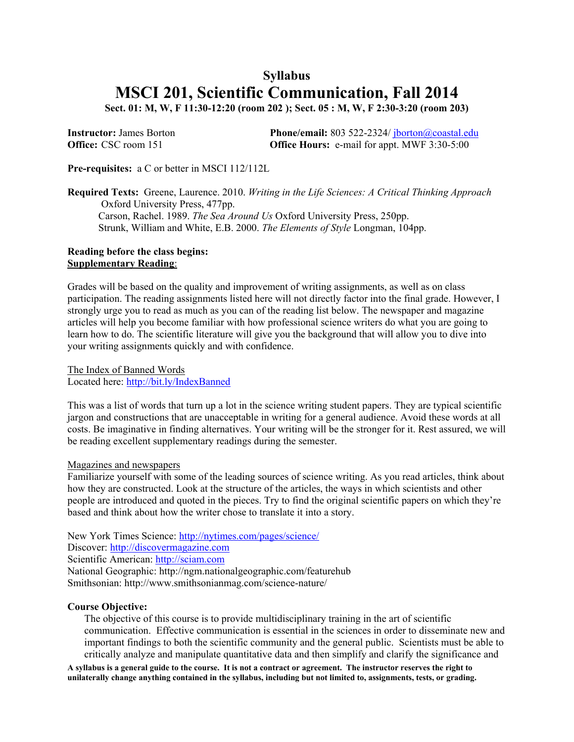# **Syllabus MSCI 201, Scientific Communication, Fall 2014**

**Sect. 01: M, W, F 11:30-12:20 (room 202 ); Sect. 05 : M, W, F 2:30-3:20 (room 203)** 

| <b>Instructor:</b> James Borton | <b>Phone/email:</b> 803 522-2324/ $\frac{\partial}{\partial \theta}$ jborton( <i>a</i> ) coastal.edu |
|---------------------------------|------------------------------------------------------------------------------------------------------|
| <b>Office:</b> CSC room 151     | <b>Office Hours:</b> e-mail for appt. MWF 3:30-5:00                                                  |

**Pre-requisites:** a C or better in MSCI 112/112L

**Required Texts:** Greene, Laurence. 2010. *Writing in the Life Sciences: A Critical Thinking Approach* Oxford University Press, 477pp. Carson, Rachel. 1989. *The Sea Around Us* Oxford University Press, 250pp. Strunk, William and White, E.B. 2000. *The Elements of Style* Longman, 104pp.

## **Reading before the class begins: Supplementary Reading**:

Grades will be based on the quality and improvement of writing assignments, as well as on class participation. The reading assignments listed here will not directly factor into the final grade. However, I strongly urge you to read as much as you can of the reading list below. The newspaper and magazine articles will help you become familiar with how professional science writers do what you are going to learn how to do. The scientific literature will give you the background that will allow you to dive into your writing assignments quickly and with confidence.

The Index of Banned Words Located here: http://bit.ly/IndexBanned

This was a list of words that turn up a lot in the science writing student papers. They are typical scientific jargon and constructions that are unacceptable in writing for a general audience. Avoid these words at all costs. Be imaginative in finding alternatives. Your writing will be the stronger for it. Rest assured, we will be reading excellent supplementary readings during the semester.

# Magazines and newspapers

Familiarize yourself with some of the leading sources of science writing. As you read articles, think about how they are constructed. Look at the structure of the articles, the ways in which scientists and other people are introduced and quoted in the pieces. Try to find the original scientific papers on which they're based and think about how the writer chose to translate it into a story.

New York Times Science: http://nytimes.com/pages/science/ Discover: http://discovermagazine.com Scientific American: http://sciam.com National Geographic: http://ngm.nationalgeographic.com/featurehub Smithsonian: http://www.smithsonianmag.com/science-nature/

# **Course Objective:**

The objective of this course is to provide multidisciplinary training in the art of scientific communication. Effective communication is essential in the sciences in order to disseminate new and important findings to both the scientific community and the general public. Scientists must be able to critically analyze and manipulate quantitative data and then simplify and clarify the significance and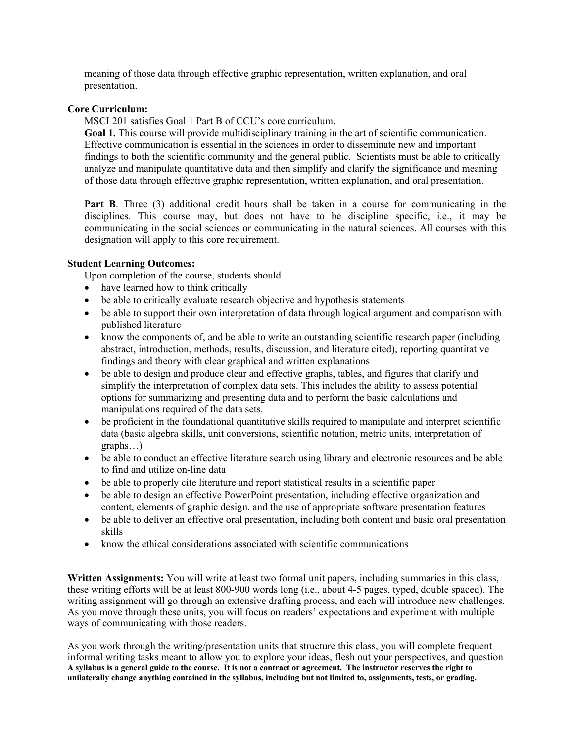meaning of those data through effective graphic representation, written explanation, and oral presentation.

## **Core Curriculum:**

MSCI 201 satisfies Goal 1 Part B of CCU's core curriculum.

**Goal 1.** This course will provide multidisciplinary training in the art of scientific communication. Effective communication is essential in the sciences in order to disseminate new and important findings to both the scientific community and the general public. Scientists must be able to critically analyze and manipulate quantitative data and then simplify and clarify the significance and meaning of those data through effective graphic representation, written explanation, and oral presentation.

Part B. Three (3) additional credit hours shall be taken in a course for communicating in the disciplines. This course may, but does not have to be discipline specific, i.e., it may be communicating in the social sciences or communicating in the natural sciences. All courses with this designation will apply to this core requirement.

#### **Student Learning Outcomes:**

Upon completion of the course, students should

- have learned how to think critically
- be able to critically evaluate research objective and hypothesis statements
- be able to support their own interpretation of data through logical argument and comparison with published literature
- know the components of, and be able to write an outstanding scientific research paper (including abstract, introduction, methods, results, discussion, and literature cited), reporting quantitative findings and theory with clear graphical and written explanations
- be able to design and produce clear and effective graphs, tables, and figures that clarify and simplify the interpretation of complex data sets. This includes the ability to assess potential options for summarizing and presenting data and to perform the basic calculations and manipulations required of the data sets.
- be proficient in the foundational quantitative skills required to manipulate and interpret scientific data (basic algebra skills, unit conversions, scientific notation, metric units, interpretation of graphs…)
- be able to conduct an effective literature search using library and electronic resources and be able to find and utilize on-line data
- be able to properly cite literature and report statistical results in a scientific paper
- be able to design an effective PowerPoint presentation, including effective organization and content, elements of graphic design, and the use of appropriate software presentation features
- be able to deliver an effective oral presentation, including both content and basic oral presentation skills
- know the ethical considerations associated with scientific communications

**Written Assignments:** You will write at least two formal unit papers, including summaries in this class, these writing efforts will be at least 800-900 words long (i.e., about 4-5 pages, typed, double spaced). The writing assignment will go through an extensive drafting process, and each will introduce new challenges. As you move through these units, you will focus on readers' expectations and experiment with multiple ways of communicating with those readers.

**A syllabus is a general guide to the course. It is not a contract or agreement. The instructor reserves the right to unilaterally change anything contained in the syllabus, including but not limited to, assignments, tests, or grading.**  As you work through the writing/presentation units that structure this class, you will complete frequent informal writing tasks meant to allow you to explore your ideas, flesh out your perspectives, and question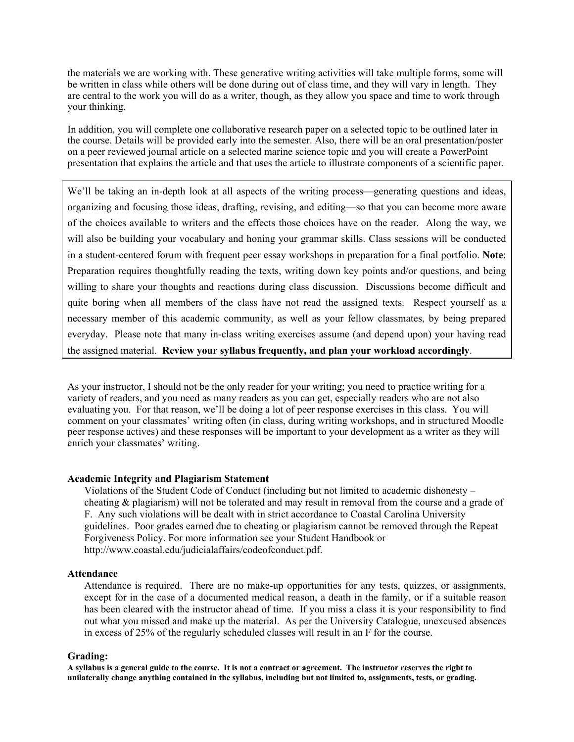the materials we are working with. These generative writing activities will take multiple forms, some will be written in class while others will be done during out of class time, and they will vary in length. They are central to the work you will do as a writer, though, as they allow you space and time to work through your thinking.

In addition, you will complete one collaborative research paper on a selected topic to be outlined later in the course. Details will be provided early into the semester. Also, there will be an oral presentation/poster on a peer reviewed journal article on a selected marine science topic and you will create a PowerPoint presentation that explains the article and that uses the article to illustrate components of a scientific paper.

We'll be taking an in-depth look at all aspects of the writing process—generating questions and ideas, organizing and focusing those ideas, drafting, revising, and editing—so that you can become more aware of the choices available to writers and the effects those choices have on the reader. Along the way, we will also be building your vocabulary and honing your grammar skills. Class sessions will be conducted in a student-centered forum with frequent peer essay workshops in preparation for a final portfolio. **Note**: Preparation requires thoughtfully reading the texts, writing down key points and/or questions, and being willing to share your thoughts and reactions during class discussion. Discussions become difficult and quite boring when all members of the class have not read the assigned texts. Respect yourself as a necessary member of this academic community, as well as your fellow classmates, by being prepared everyday. Please note that many in-class writing exercises assume (and depend upon) your having read the assigned material. **Review your syllabus frequently, and plan your workload accordingly**.

As your instructor, I should not be the only reader for your writing; you need to practice writing for a variety of readers, and you need as many readers as you can get, especially readers who are not also evaluating you. For that reason, we'll be doing a lot of peer response exercises in this class. You will comment on your classmates' writing often (in class, during writing workshops, and in structured Moodle peer response actives) and these responses will be important to your development as a writer as they will enrich your classmates' writing.

#### **Academic Integrity and Plagiarism Statement**

Violations of the Student Code of Conduct (including but not limited to academic dishonesty – cheating & plagiarism) will not be tolerated and may result in removal from the course and a grade of F. Any such violations will be dealt with in strict accordance to Coastal Carolina University guidelines. Poor grades earned due to cheating or plagiarism cannot be removed through the Repeat Forgiveness Policy. For more information see your Student Handbook or http://www.coastal.edu/judicialaffairs/codeofconduct.pdf.

#### **Attendance**

Attendance is required. There are no make-up opportunities for any tests, quizzes, or assignments, except for in the case of a documented medical reason, a death in the family, or if a suitable reason has been cleared with the instructor ahead of time. If you miss a class it is your responsibility to find out what you missed and make up the material. As per the University Catalogue, unexcused absences in excess of 25% of the regularly scheduled classes will result in an F for the course.

#### **Grading:**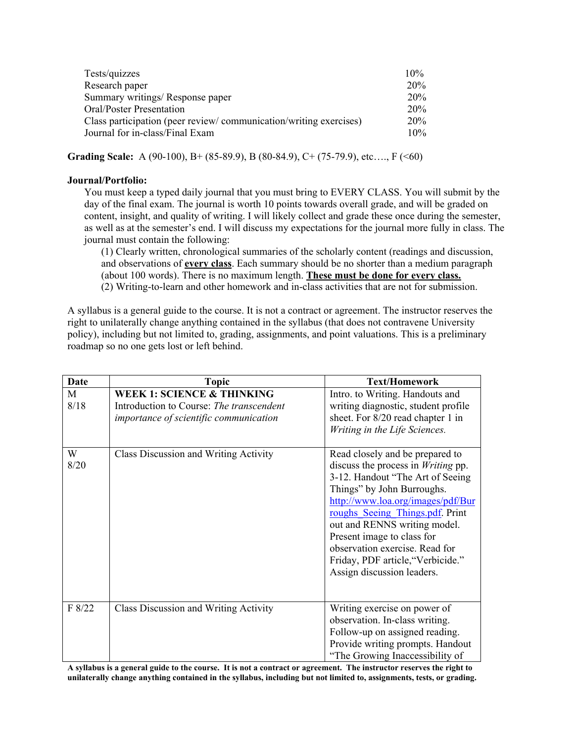| Tests/quizzes                                                     | 10%  |
|-------------------------------------------------------------------|------|
| Research paper                                                    | 20%  |
| Summary writings/ Response paper                                  | 20%  |
| Oral/Poster Presentation                                          | 20\% |
| Class participation (peer review/communication/writing exercises) | 20%  |
| Journal for in-class/Final Exam                                   | 10%  |

**Grading Scale:** A (90-100), B+ (85-89.9), B (80-84.9), C+ (75-79.9), etc…., F (<60)

#### **Journal/Portfolio:**

You must keep a typed daily journal that you must bring to EVERY CLASS. You will submit by the day of the final exam. The journal is worth 10 points towards overall grade, and will be graded on content, insight, and quality of writing. I will likely collect and grade these once during the semester, as well as at the semester's end. I will discuss my expectations for the journal more fully in class. The journal must contain the following:

(1) Clearly written, chronological summaries of the scholarly content (readings and discussion, and observations of **every class**. Each summary should be no shorter than a medium paragraph (about 100 words). There is no maximum length. **These must be done for every class.** (2) Writing-to-learn and other homework and in-class activities that are not for submission.

A syllabus is a general guide to the course. It is not a contract or agreement. The instructor reserves the right to unilaterally change anything contained in the syllabus (that does not contravene University policy), including but not limited to, grading, assignments, and point valuations. This is a preliminary roadmap so no one gets lost or left behind.

| <b>Date</b> | <b>Topic</b>                                                                                                                | <b>Text/Homework</b>                                                                                                                                                                                                                                                                                                                                                                     |
|-------------|-----------------------------------------------------------------------------------------------------------------------------|------------------------------------------------------------------------------------------------------------------------------------------------------------------------------------------------------------------------------------------------------------------------------------------------------------------------------------------------------------------------------------------|
| M<br>8/18   | <b>WEEK 1: SCIENCE &amp; THINKING</b><br>Introduction to Course: The transcendent<br>importance of scientific communication | Intro. to Writing. Handouts and<br>writing diagnostic, student profile<br>sheet. For 8/20 read chapter 1 in<br>Writing in the Life Sciences.                                                                                                                                                                                                                                             |
| W<br>8/20   | Class Discussion and Writing Activity                                                                                       | Read closely and be prepared to<br>discuss the process in <i>Writing</i> pp.<br>3-12. Handout "The Art of Seeing<br>Things" by John Burroughs.<br>http://www.loa.org/images/pdf/Bur<br>roughs Seeing Things.pdf Print<br>out and RENNS writing model.<br>Present image to class for<br>observation exercise. Read for<br>Friday, PDF article, "Verbicide."<br>Assign discussion leaders. |
| F 8/22      | Class Discussion and Writing Activity                                                                                       | Writing exercise on power of<br>observation. In-class writing.<br>Follow-up on assigned reading.<br>Provide writing prompts. Handout<br>"The Growing Inaccessibility of                                                                                                                                                                                                                  |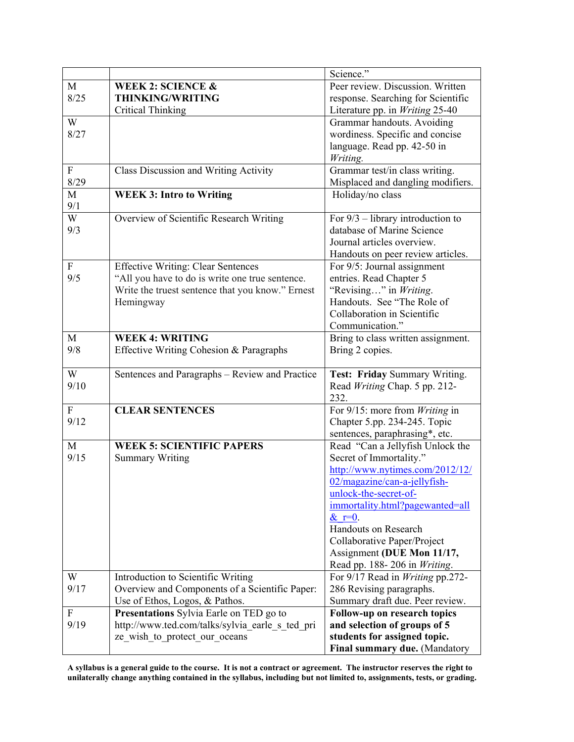|                           |                                                  | Science."                           |
|---------------------------|--------------------------------------------------|-------------------------------------|
| M                         | <b>WEEK 2: SCIENCE &amp;</b>                     | Peer review. Discussion. Written    |
| 8/25                      | <b>THINKING/WRITING</b>                          | response. Searching for Scientific  |
|                           | <b>Critical Thinking</b>                         | Literature pp. in Writing 25-40     |
| W                         |                                                  | Grammar handouts. Avoiding          |
| 8/27                      |                                                  | wordiness. Specific and concise     |
|                           |                                                  | language. Read pp. 42-50 in         |
|                           |                                                  | Writing.                            |
| $\boldsymbol{\mathrm{F}}$ | <b>Class Discussion and Writing Activity</b>     | Grammar test/in class writing.      |
| 8/29                      |                                                  | Misplaced and dangling modifiers.   |
| M                         | <b>WEEK 3: Intro to Writing</b>                  | Holiday/no class                    |
| 9/1                       |                                                  |                                     |
| W                         | Overview of Scientific Research Writing          | For $9/3$ – library introduction to |
| 9/3                       |                                                  | database of Marine Science          |
|                           |                                                  | Journal articles overview.          |
|                           |                                                  | Handouts on peer review articles.   |
| $\boldsymbol{F}$          | <b>Effective Writing: Clear Sentences</b>        | For 9/5: Journal assignment         |
| 9/5                       | "All you have to do is write one true sentence.  | entries. Read Chapter 5             |
|                           | Write the truest sentence that you know." Ernest | "Revising" in Writing.              |
|                           | Hemingway                                        | Handouts. See "The Role of          |
|                           |                                                  | Collaboration in Scientific         |
|                           |                                                  | Communication."                     |
| M                         | <b>WEEK 4: WRITING</b>                           | Bring to class written assignment.  |
| 9/8                       | Effective Writing Cohesion & Paragraphs          | Bring 2 copies.                     |
|                           |                                                  |                                     |
| W                         | Sentences and Paragraphs - Review and Practice   | Test: Friday Summary Writing.       |
| 9/10                      |                                                  | Read Writing Chap. 5 pp. 212-       |
|                           |                                                  | 232.                                |
| $\mathbf{F}$              | <b>CLEAR SENTENCES</b>                           | For 9/15: more from Writing in      |
| 9/12                      |                                                  | Chapter 5.pp. 234-245. Topic        |
|                           |                                                  | sentences, paraphrasing*, etc.      |
| M                         | <b>WEEK 5: SCIENTIFIC PAPERS</b>                 | Read "Can a Jellyfish Unlock the    |
| 9/15                      | <b>Summary Writing</b>                           | Secret of Immortality."             |
|                           |                                                  | http://www.nytimes.com/2012/12/     |
|                           |                                                  | $02/magazine/can-a-jellyfish-$      |
|                           |                                                  | unlock-the-secret-of-               |
|                           |                                                  | immortality.html?pagewanted=all     |
|                           |                                                  | $\&$ r=0.                           |
|                           |                                                  | Handouts on Research                |
|                           |                                                  | Collaborative Paper/Project         |
|                           |                                                  | Assignment (DUE Mon 11/17,          |
|                           |                                                  | Read pp. 188-206 in Writing.        |
| W                         | Introduction to Scientific Writing               | For 9/17 Read in Writing pp.272-    |
| 9/17                      | Overview and Components of a Scientific Paper:   | 286 Revising paragraphs.            |
|                           | Use of Ethos, Logos, & Pathos.                   | Summary draft due. Peer review.     |
| ${\bf F}$                 | Presentations Sylvia Earle on TED go to          | Follow-up on research topics        |
| 9/19                      | http://www.ted.com/talks/sylvia earle s ted pri  | and selection of groups of 5        |
|                           | ze wish to protect our oceans                    | students for assigned topic.        |
|                           |                                                  | Final summary due. (Mandatory       |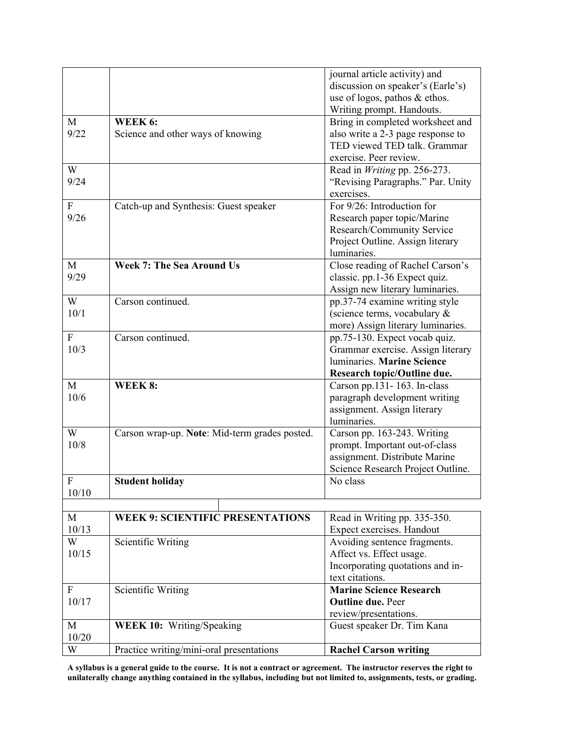|                           |                                               | journal article activity) and       |
|---------------------------|-----------------------------------------------|-------------------------------------|
|                           |                                               | discussion on speaker's (Earle's)   |
|                           |                                               | use of logos, pathos & ethos.       |
|                           |                                               | Writing prompt. Handouts.           |
| M                         | WEEK 6:                                       | Bring in completed worksheet and    |
| 9/22                      | Science and other ways of knowing             | also write a 2-3 page response to   |
|                           |                                               | TED viewed TED talk. Grammar        |
|                           |                                               | exercise. Peer review.              |
| W                         |                                               | Read in <i>Writing</i> pp. 256-273. |
| 9/24                      |                                               | "Revising Paragraphs." Par. Unity   |
|                           |                                               | exercises.                          |
| $\mathbf{F}$              | Catch-up and Synthesis: Guest speaker         | For 9/26: Introduction for          |
| 9/26                      |                                               | Research paper topic/Marine         |
|                           |                                               | Research/Community Service          |
|                           |                                               | Project Outline. Assign literary    |
|                           |                                               | luminaries.                         |
| M                         | <b>Week 7: The Sea Around Us</b>              | Close reading of Rachel Carson's    |
| 9/29                      |                                               | classic. pp.1-36 Expect quiz.       |
|                           |                                               | Assign new literary luminaries.     |
| W                         | Carson continued.                             | pp.37-74 examine writing style      |
| 10/1                      |                                               | (science terms, vocabulary &        |
|                           |                                               | more) Assign literary luminaries.   |
| $\boldsymbol{\mathrm{F}}$ | Carson continued.                             | pp.75-130. Expect vocab quiz.       |
| 10/3                      |                                               | Grammar exercise. Assign literary   |
|                           |                                               | luminaries. Marine Science          |
|                           |                                               | Research topic/Outline due.         |
| M                         | WEEK 8:                                       | Carson pp.131-163. In-class         |
| 10/6                      |                                               | paragraph development writing       |
|                           |                                               | assignment. Assign literary         |
|                           |                                               | luminaries.                         |
| W                         | Carson wrap-up. Note: Mid-term grades posted. | Carson pp. 163-243. Writing         |
| 10/8                      |                                               | prompt. Important out-of-class      |
|                           |                                               | assignment. Distribute Marine       |
|                           |                                               | Science Research Project Outline.   |
| $\mathbf F$               | <b>Student holiday</b>                        | No class                            |
| 10/10                     |                                               |                                     |
|                           |                                               |                                     |
| M                         | <b>WEEK 9: SCIENTIFIC PRESENTATIONS</b>       | Read in Writing pp. 335-350.        |
| 10/13                     |                                               | Expect exercises. Handout           |
| W                         | Scientific Writing                            | Avoiding sentence fragments.        |
| 10/15                     |                                               | Affect vs. Effect usage.            |
|                           |                                               | Incorporating quotations and in-    |
|                           |                                               | text citations.                     |
| $\mathbf F$               | Scientific Writing                            | <b>Marine Science Research</b>      |
| 10/17                     |                                               | <b>Outline due. Peer</b>            |
|                           |                                               | review/presentations.               |
| M                         | <b>WEEK 10: Writing/Speaking</b>              | Guest speaker Dr. Tim Kana          |
| 10/20                     |                                               |                                     |
| W                         | Practice writing/mini-oral presentations      | <b>Rachel Carson writing</b>        |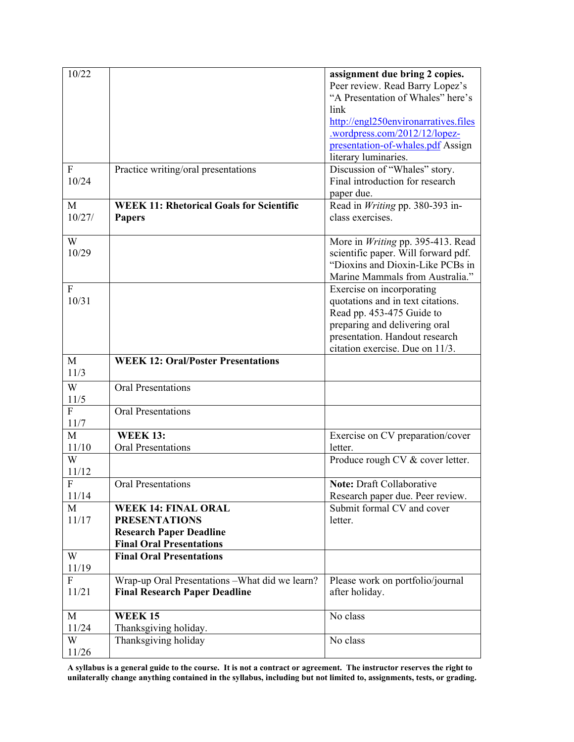| 10/22            |                                                 | assignment due bring 2 copies.                                          |
|------------------|-------------------------------------------------|-------------------------------------------------------------------------|
|                  |                                                 | Peer review. Read Barry Lopez's                                         |
|                  |                                                 | "A Presentation of Whales" here's                                       |
|                  |                                                 | link                                                                    |
|                  |                                                 | http://engl250environarratives.files                                    |
|                  |                                                 | .wordpress.com/2012/12/lopez-                                           |
|                  |                                                 | presentation-of-whales.pdf Assign                                       |
|                  |                                                 | literary luminaries.                                                    |
| $\mathbf{F}$     | Practice writing/oral presentations             | Discussion of "Whales" story.                                           |
| 10/24            |                                                 | Final introduction for research                                         |
|                  |                                                 | paper due.                                                              |
| M                | <b>WEEK 11: Rhetorical Goals for Scientific</b> | Read in Writing pp. 380-393 in-                                         |
| 10/27/           |                                                 | class exercises.                                                        |
|                  | <b>Papers</b>                                   |                                                                         |
| W                |                                                 |                                                                         |
| 10/29            |                                                 | More in <i>Writing</i> pp. 395-413. Read                                |
|                  |                                                 | scientific paper. Will forward pdf.<br>"Dioxins and Dioxin-Like PCBs in |
|                  |                                                 |                                                                         |
|                  |                                                 | Marine Mammals from Australia."                                         |
| F                |                                                 | Exercise on incorporating                                               |
| 10/31            |                                                 | quotations and in text citations.                                       |
|                  |                                                 | Read pp. 453-475 Guide to                                               |
|                  |                                                 | preparing and delivering oral                                           |
|                  |                                                 | presentation. Handout research                                          |
|                  |                                                 | citation exercise. Due on 11/3.                                         |
| M                | <b>WEEK 12: Oral/Poster Presentations</b>       |                                                                         |
| 11/3             |                                                 |                                                                         |
| W                | <b>Oral Presentations</b>                       |                                                                         |
| 11/5             |                                                 |                                                                         |
| F                | <b>Oral Presentations</b>                       |                                                                         |
| 11/7             |                                                 |                                                                         |
| M                | <b>WEEK 13:</b>                                 | Exercise on CV preparation/cover                                        |
| 11/10            | <b>Oral Presentations</b>                       | letter.                                                                 |
| W                |                                                 | Produce rough CV & cover letter.                                        |
| 11/12            |                                                 |                                                                         |
| $\boldsymbol{F}$ | Oral Presentations                              | <b>Note: Draft Collaborative</b>                                        |
| 11/14            |                                                 | Research paper due. Peer review.                                        |
| M                | <b>WEEK 14: FINAL ORAL</b>                      | Submit formal CV and cover                                              |
| 11/17            | <b>PRESENTATIONS</b>                            | letter.                                                                 |
|                  | <b>Research Paper Deadline</b>                  |                                                                         |
|                  | <b>Final Oral Presentations</b>                 |                                                                         |
| W                | <b>Final Oral Presentations</b>                 |                                                                         |
| 11/19            |                                                 |                                                                         |
| F                | Wrap-up Oral Presentations - What did we learn? | Please work on portfolio/journal                                        |
| 11/21            | <b>Final Research Paper Deadline</b>            | after holiday.                                                          |
|                  |                                                 |                                                                         |
| $\mathbf{M}$     | <b>WEEK15</b>                                   | No class                                                                |
|                  |                                                 |                                                                         |
| 11/24            | Thanksgiving holiday.                           |                                                                         |
| W                | Thanksgiving holiday                            | No class                                                                |
| 11/26            |                                                 |                                                                         |